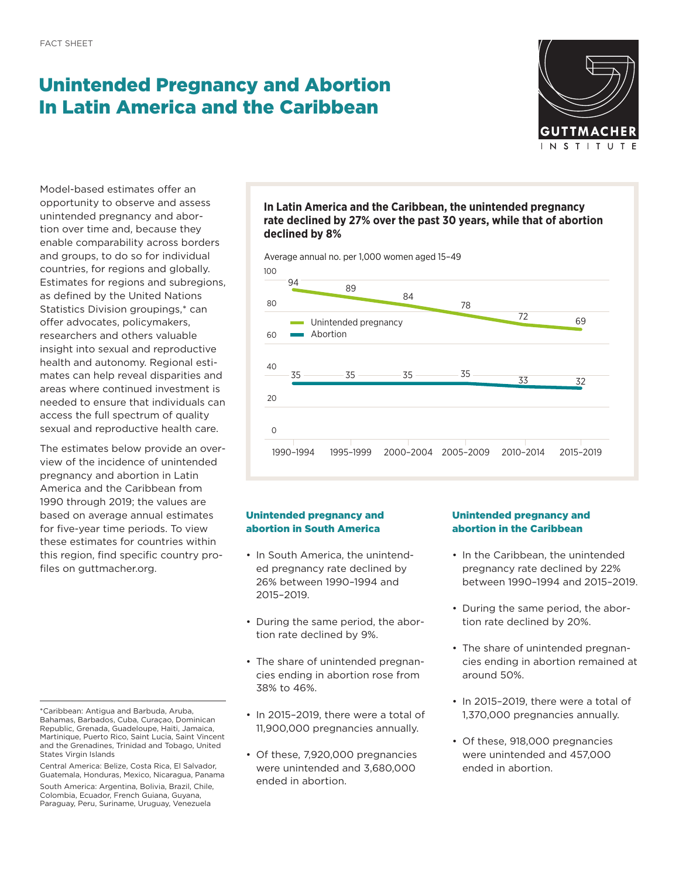# Unintended Pregnancy and Abortion In Latin America and the Caribbean



Model-based estimates offer an opportunity to observe and assess unintended pregnancy and abortion over time and, because they enable comparability across borders and groups, to do so for individual countries, for regions and globally. Estimates for regions and subregions, as defined by the United Nations Statistics Division groupings,\* can offer advocates, policymakers, researchers and others valuable insight into sexual and reproductive health and autonomy. Regional estimates can help reveal disparities and areas where continued investment is needed to ensure that individuals can access the full spectrum of quality sexual and reproductive health care.

The estimates below provide an overview of the incidence of unintended pregnancy and abortion in Latin America and the Caribbean from 1990 through 2019; the values are based on average annual estimates for five-year time periods. To view these estimates for countries within this region, find specific country profiles on g[uttmacher.org](http://Guttmacher.org).

## **In Latin America and the Caribbean, the unintended pregnancy rate declined by 27% over the past 30 years, while that of abortion declined by 8%**

100 Average annual no. per 1,000 women aged 15–49



# Unintended pregnancy and abortion in South America

- In South America, the unintended pregnancy rate declined by 26% between 1990–1994 and 2015–2019.
- During the same period, the abortion rate declined by 9%.
- The share of unintended pregnancies ending in abortion rose from 38% to 46%.
- In 2015–2019, there were a total of 11,900,000 pregnancies annually.
- Of these, 7,920,000 pregnancies were unintended and 3,680,000 ended in abortion.

# Unintended pregnancy and abortion in the Caribbean

- In the Caribbean, the unintended pregnancy rate declined by 22% between 1990–1994 and 2015–2019.
- During the same period, the abortion rate declined by 20%.
- The share of unintended pregnancies ending in abortion remained at around 50%.
- In 2015–2019, there were a total of 1,370,000 pregnancies annually.
- Of these, 918,000 pregnancies were unintended and 457,000 ended in abortion.

<sup>\*</sup>Caribbean: Antigua and Barbuda, Aruba, Bahamas, Barbados, Cuba, Curaçao, Dominican Republic, Grenada, Guadeloupe, Haiti, Jamaica, Martinique, Puerto Rico, Saint Lucia, Saint Vincent and the Grenadines, Trinidad and Tobago, United States Virgin Islands

Central America: Belize, Costa Rica, El Salvador, Guatemala, Honduras, Mexico, Nicaragua, Panama

South America: Argentina, Bolivia, Brazil, Chile, Colombia, Ecuador, French Guiana, Guyana, Paraguay, Peru, Suriname, Uruguay, Venezuela